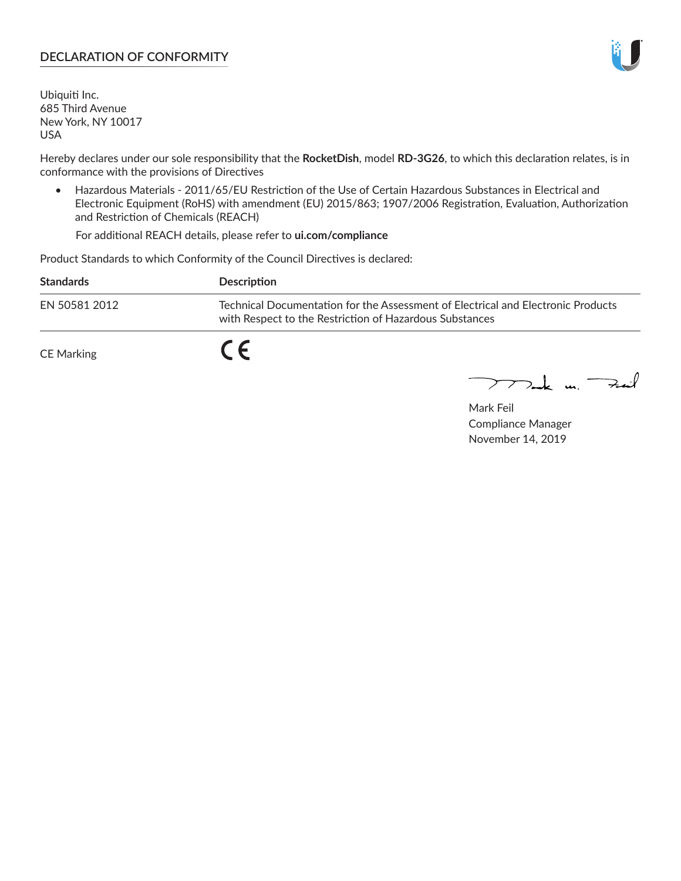## **DECLARATION OF CONFORMITY**

Ubiquiti Inc. 685 Third Avenue New York, NY 10017 USA

Hereby declares under our sole responsibility that the **RocketDish**, model **RD-3G26**, to which this declaration relates, is in conformance with the provisions of Directives

• Hazardous Materials - 2011/65/EU Restriction of the Use of Certain Hazardous Substances in Electrical and Electronic Equipment (RoHS) with amendment (EU) 2015/863; 1907/2006 Registration, Evaluation, Authorization and Restriction of Chemicals (REACH)

For additional REACH details, please refer to **ui.com/compliance**

Product Standards to which Conformity of the Council Directives is declared:

| <b>Standards</b> | Description                                                                                                                                 |
|------------------|---------------------------------------------------------------------------------------------------------------------------------------------|
| EN 50581 2012    | Technical Documentation for the Assessment of Electrical and Electronic Products<br>with Respect to the Restriction of Hazardous Substances |
| CE Marking       | C C                                                                                                                                         |

 $\sum_{n=1}^{\infty}$  un  $\sum_{n=1}^{\infty}$ 

Mark Feil Compliance Manager November 14, 2019

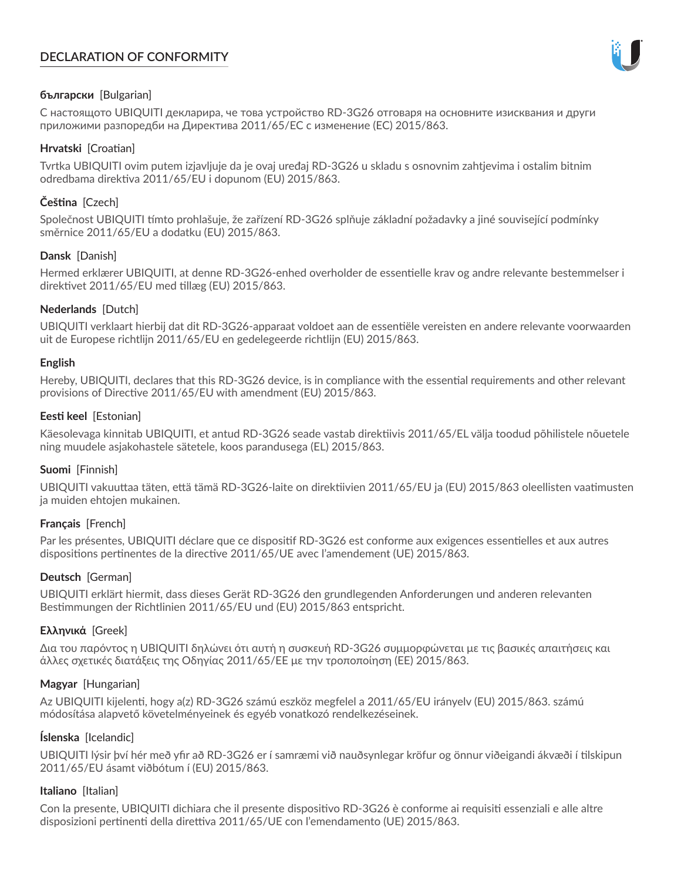# **DECLARATION OF CONFORMITY**



## **български** [Bulgarian]

С настоящото UBIQUITI декларира, че това устройство RD-3G26 отговаря на основните изисквания и други приложими разпоредби на Директива 2011/65/ЕС с изменение (ЕС) 2015/863.

## **Hrvatski** [Croatian]

Tvrtka UBIQUITI ovim putem izjavljuje da je ovaj uređaj RD-3G26 u skladu s osnovnim zahtjevima i ostalim bitnim odredbama direktiva 2011/65/EU i dopunom (EU) 2015/863.

## **Čeština** [Czech]

Společnost UBIQUITI tímto prohlašuje, že zařízení RD-3G26 splňuje základní požadavky a jiné související podmínky směrnice 2011/65/EU a dodatku (EU) 2015/863.

### **Dansk** [Danish]

Hermed erklærer UBIQUITI, at denne RD-3G26-enhed overholder de essentielle krav og andre relevante bestemmelser i direktivet 2011/65/EU med tillæg (EU) 2015/863.

### **Nederlands** [Dutch]

UBIQUITI verklaart hierbij dat dit RD-3G26-apparaat voldoet aan de essentiële vereisten en andere relevante voorwaarden uit de Europese richtlijn 2011/65/EU en gedelegeerde richtlijn (EU) 2015/863.

#### **English**

Hereby, UBIQUITI, declares that this RD-3G26 device, is in compliance with the essential requirements and other relevant provisions of Directive 2011/65/EU with amendment (EU) 2015/863.

### **Eesti keel** [Estonian]

Käesolevaga kinnitab UBIQUITI, et antud RD-3G26 seade vastab direktiivis 2011/65/EL välja toodud põhilistele nõuetele ning muudele asjakohastele sätetele, koos parandusega (EL) 2015/863.

## **Suomi** [Finnish]

UBIQUITI vakuuttaa täten, että tämä RD-3G26-laite on direktiivien 2011/65/EU ja (EU) 2015/863 oleellisten vaatimusten ja muiden ehtojen mukainen.

#### **Français** [French]

Par les présentes, UBIQUITI déclare que ce dispositif RD-3G26 est conforme aux exigences essentielles et aux autres dispositions pertinentes de la directive 2011/65/UE avec l'amendement (UE) 2015/863.

## **Deutsch** [German]

UBIQUITI erklärt hiermit, dass dieses Gerät RD-3G26 den grundlegenden Anforderungen und anderen relevanten Bestimmungen der Richtlinien 2011/65/EU und (EU) 2015/863 entspricht.

#### **Ελληνικά** [Greek]

Δια του παρόντος η UBIQUITI δηλώνει ότι αυτή η συσκευή RD-3G26 συμμορφώνεται με τις βασικές απαιτήσεις και άλλες σχετικές διατάξεις της Οδηγίας 2011/65/ΕΕ με την τροποποίηση (ΕΕ) 2015/863.

#### **Magyar** [Hungarian]

Az UBIQUITI kijelenti, hogy a(z) RD-3G26 számú eszköz megfelel a 2011/65/EU irányelv (EU) 2015/863. számú módosítása alapvető követelményeinek és egyéb vonatkozó rendelkezéseinek.

#### **Íslenska** [Icelandic]

UBIQUITI lýsir því hér með yfir að RD-3G26 er í samræmi við nauðsynlegar kröfur og önnur viðeigandi ákvæði í tilskipun 2011/65/EU ásamt viðbótum í (EU) 2015/863.

#### **Italiano** [Italian]

Con la presente, UBIQUITI dichiara che il presente dispositivo RD-3G26 è conforme ai requisiti essenziali e alle altre disposizioni pertinenti della direttiva 2011/65/UE con l'emendamento (UE) 2015/863.